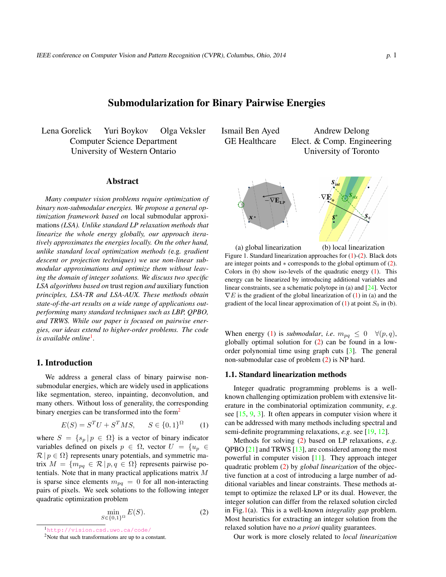# Submodularization for Binary Pairwise Energies

<span id="page-0-5"></span>Lena Gorelick Yuri Boykov Olga Veksler Computer Science Department University of Western Ontario

#### Abstract

*Many computer vision problems require optimization of binary non-submodular energies. We propose a general optimization framework based on* local submodular approximations *(LSA). Unlike standard LP relaxation methods that linearize the whole energy globally, our approach iteratively approximates the energies locally. On the other hand, unlike standard local optimization methods (*e.g*. gradient descent or projection techniques) we use non-linear submodular approximations and optimize them without leaving the domain of integer solutions. We discuss two specific LSA algorithms based on* trust region *and* auxiliary function *principles, LSA-TR and LSA-AUX. These methods obtain state-of-the-art results on a wide range of applications outperforming many standard techniques such as LBP, QPBO, and TRWS. While our paper is focused on pairwise energies, our ideas extend to higher-order problems. The code is available online*[1](#page-0-0) *.*

#### 1. Introduction

We address a general class of binary pairwise nonsubmodular energies, which are widely used in applications like segmentation, stereo, inpainting, deconvolution, and many others. Without loss of generality, the corresponding binary energies can be transformed into the form<sup>[2](#page-0-1)</sup>

<span id="page-0-2"></span>
$$
E(S) = STU + STMS, \t S \in \{0, 1\}\Omega
$$
 (1)

where  $S = \{s_p | p \in \Omega\}$  is a vector of binary indicator variables defined on pixels  $p \in \Omega$ , vector  $U = \{u_p \in$  $\mathcal{R} | p \in \Omega$ } represents unary potentials, and symmetric matrix  $M = \{m_{pq} \in \mathcal{R} \mid p, q \in \Omega\}$  represents pairwise potentials. Note that in many practical applications matrix *M* is sparse since elements  $m_{pq} = 0$  for all non-interacting pairs of pixels. We seek solutions to the following integer quadratic optimization problem

<span id="page-0-3"></span>
$$
\min_{S \in \{0,1\}^\Omega} E(S). \tag{2}
$$

Ismail Ben Ayed GE Healthcare Andrew Delong Elect. & Comp. Engineering University of Toronto



<span id="page-0-4"></span>(a) global linearization (b) local linearization Figure 1. Standard linearization approaches for [\(1\)](#page-0-2)-([2](#page-0-3)). Black dots are integer points and *∗* corresponds to the global optimum of [\(2\)](#page-0-3). Colors in (b) show iso-levels of the quadratic energy  $(1)$ . This energy can be linearized by introducing additional variables and linear constraints, see a schematic polytope in (a) and [[24\]](#page-7-0). Vector *∇E* is the gradient of the global linearization of [\(1\)](#page-0-2) in (a) and the gradient of the local linear approximation of  $(1)$  at point  $S_0$  in  $(b)$ .

When energy ([1\)](#page-0-2) is *submodular*, *i.e.*  $m_{pq} \leq 0 \quad \forall (p,q)$ , globally optimal solution for [\(2](#page-0-3)) can be found in a loworder polynomial time using graph cuts [[3\]](#page-7-1). The general non-submodular case of problem [\(2](#page-0-3)) is NP hard.

#### 1.1. Standard linearization methods

Integer quadratic programming problems is a wellknown challenging optimization problem with extensive literature in the combinatorial optimization community, *e.g*. see  $[15, 9, 3]$  $[15, 9, 3]$  $[15, 9, 3]$  $[15, 9, 3]$  $[15, 9, 3]$  $[15, 9, 3]$  $[15, 9, 3]$ . It often appears in computer vision where it can be addressed with many methods including spectral and semi-definite programming relaxations, *e.g*. see [\[19](#page-7-4), [12\]](#page-7-5).

Methods for solving ([2\)](#page-0-3) based on LP relaxations, *e.g*. QPBO [[21\]](#page-7-6) and TRWS [\[13](#page-7-7)], are considered among the most powerful in computer vision [[11\]](#page-7-8). They approach integer quadratic problem [\(2](#page-0-3)) by *global linearization* of the objective function at a cost of introducing a large number of additional variables and linear constraints. These methods attempt to optimize the relaxed LP or its dual. However, the integer solution can differ from the relaxed solution circled in Fig[.1](#page-0-4)(a). This is a well-known *integrality gap* problem. Most heuristics for extracting an integer solution from the relaxed solution have no *a priori* quality guarantees.

Our work is more closely related to *local linearization*

<span id="page-0-0"></span><sup>1</sup><http://vision.csd.uwo.ca/code/>

<span id="page-0-1"></span> $2$ Note that such transformations are up to a constant.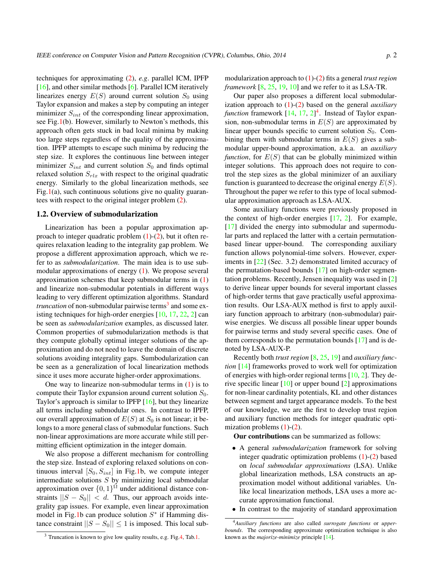<span id="page-1-2"></span>techniques for approximating [\(2](#page-0-3)), *e.g*. parallel ICM, IPFP [\[16](#page-7-9)], and other similar methods [\[6](#page-7-10)]. Parallel ICM iteratively linearizes energy  $E(S)$  around current solution  $S_0$  using Taylor expansion and makes a step by computing an integer minimizer *Sint* of the corresponding linear approximation, see Fig[.1](#page-0-4)(b). However, similarly to Newton's methods, this approach often gets stuck in bad local minima by making too large steps regardless of the quality of the approximation. IPFP attempts to escape such minima by reducing the step size. It explores the continuous line between integer minimizer  $S_{int}$  and current solution  $S_0$  and finds optimal relaxed solution  $S_{rlx}$  with respect to the original quadratic energy. Similarly to the global linearization methods, see Fig.[1\(](#page-0-4)a), such continuous solutions give no quality guarantees with respect to the original integer problem [\(2](#page-0-3)).

#### 1.2. Overview of submodularization

Linearization has been a popular approximation approach to integer quadratic problem  $(1)-(2)$  $(1)-(2)$  $(1)-(2)$  $(1)-(2)$ , but it often requires relaxation leading to the integrality gap problem. We propose a different approximation approach, which we refer to as *submodularization*. The main idea is to use submodular approximations of energy [\(1](#page-0-2)). We propose several approximation schemes that keep submodular terms in [\(1](#page-0-2)) and linearize non-submodular potentials in different ways leading to very different optimization algorithms. Standard *truncation* of non-submodular pairwise terms<sup>[3](#page-1-0)</sup> and some existing techniques for high-order energies [\[10](#page-7-11), [17,](#page-7-12) [22,](#page-7-13) [2\]](#page-6-0) can be seen as *submodularization* examples, as discussed later. Common properties of submodularization methods is that they compute globally optimal integer solutions of the approximation and do not need to leave the domain of discrete solutions avoiding integrality gaps. Sumbodularization can be seen as a generalization of local linearization methods since it uses more accurate higher-order approximations.

One way to linearize non-submodular terms in  $(1)$  $(1)$  is to compute their Taylor expansion around current solution *S*0. Taylor's approach is similar to IPFP [\[16](#page-7-9)], but they linearize all terms including submodular ones. In contrast to IPFP, our overall approximation of  $E(S)$  at  $S_0$  is not linear; it belongs to a more general class of submodular functions. Such non-linear approximations are more accurate while still permitting efficient optimization in the integer domain.

We also propose a different mechanism for controlling the step size. Instead of exploring relaxed solutions on continuous interval  $[S_0, S_{int}]$  in Fig.[1b](#page-0-4), we compute integer intermediate solutions *S* by minimizing local submodular approximation over  $\{0,1\}^{\Omega}$  under additional distance constraints  $||S - S_0|| < d$ . Thus, our approach avoids integrality gap issues. For example, even linear approximation model in Fig.[1b](#page-0-4) can produce solution *S ∗* if Hamming distance constraint  $||S - S_0|| \leq 1$  is imposed. This local sub-

modularization approach to ([1\)](#page-0-2)-([2\)](#page-0-3) fits a general *trust region framework* [[8,](#page-7-14) [25](#page-7-15), [19](#page-7-4), [10](#page-7-11)] and we refer to it as LSA-TR.

Our paper also proposes a different local submodularization approach to [\(1](#page-0-2))-[\(2](#page-0-3)) based on the general *auxiliary* function framework  $[14, 17, 2]$  $[14, 17, 2]$  $[14, 17, 2]$  $[14, 17, 2]$  $[14, 17, 2]$  $[14, 17, 2]$ <sup>[4](#page-1-1)</sup>. Instead of Taylor expansion, non-submodular terms in *E*(*S*) are approximated by linear upper bounds specific to current solution  $S_0$ . Combining them with submodular terms in *E*(*S*) gives a submodular upper-bound approximation, a.k.a. an *auxiliary function*, for  $E(S)$  that can be globally minimized within integer solutions. This approach does not require to control the step sizes as the global minimizer of an auxiliary function is guaranteed to decrease the original energy *E*(*S*). Throughout the paper we refer to this type of local submodular approximation approach as LSA-AUX.

Some auxiliary functions were previously proposed in the context of high-order energies [[17,](#page-7-12) [2](#page-6-0)]. For example, [\[17](#page-7-12)] divided the energy into submodular and supermodular parts and replaced the latter with a certain permutationbased linear upper-bound. The corresponding auxiliary function allows polynomial-time solvers. However, experiments in [\[22](#page-7-13)] (Sec. 3.2) demonstrated limited accuracy of the permutation-based bounds [[17\]](#page-7-12) on high-order segmentation problems. Recently, Jensen inequality was used in [[2\]](#page-6-0) to derive linear upper bounds for several important classes of high-order terms that gave practically useful approximation results. Our LSA-AUX method is first to apply auxiliary function approach to arbitrary (non-submodular) pairwise energies. We discuss all possible linear upper bounds for pairwise terms and study several specific cases. One of them corresponds to the permutation bounds [\[17](#page-7-12)] and is denoted by LSA-AUX-P.

Recently both *trust region* [[8,](#page-7-14) [25](#page-7-15), [19](#page-7-4)] and *auxiliary function* [\[14](#page-7-16)] frameworks proved to work well for optimization of energies with high-order regional terms  $[10, 2]$  $[10, 2]$  $[10, 2]$  $[10, 2]$ . They derive specific linear [[10\]](#page-7-11) or upper bound [\[2](#page-6-0)] approximations for non-linear cardinality potentials, KL and other distances between segment and target appearance models. To the best of our knowledge, we are the first to develop trust region and auxiliary function methods for integer quadratic optimization problems [\(1](#page-0-2))-[\(2](#page-0-3)).

Our contributions can be summarized as follows:

- *•* A general *submodularization* framework for solving integer quadratic optimization problems [\(1](#page-0-2))-[\(2](#page-0-3)) based on *local submodular approximations* (LSA). Unlike global linearization methods, LSA constructs an approximation model without additional variables. Unlike local linearization methods, LSA uses a more accurate approximation functional.
- In contrast to the majority of standard approximation

<span id="page-1-1"></span><sup>4</sup>*Auxiliary functions* are also called *surrogate functions* or *upperbounds*. The corresponding approximate optimization technique is also known as the *majorize-minimize* principle [\[14\]](#page-7-16).

<span id="page-1-0"></span><sup>&</sup>lt;sup>3</sup> Truncation is known to give low quality results, e.g. Fig. [4,](#page-4-0) Tab[.1](#page-6-1).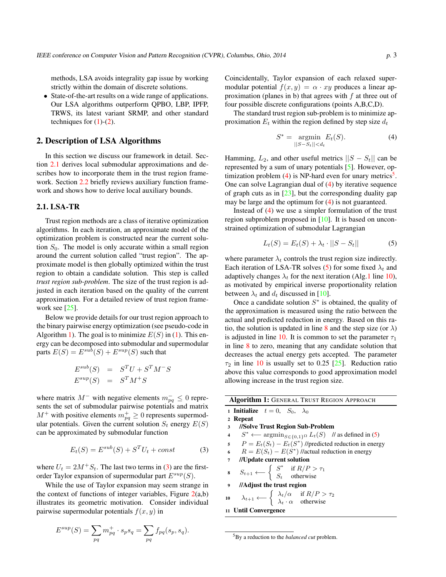<span id="page-2-8"></span>methods, LSA avoids integrality gap issue by working strictly within the domain of discrete solutions.

• State-of-the-art results on a wide range of applications. Our LSA algorithms outperform QPBO, LBP, IPFP, TRWS, its latest variant SRMP, and other standard techniques for  $(1)-(2)$  $(1)-(2)$  $(1)-(2)$  $(1)-(2)$  $(1)-(2)$ .

# 2. Description of LSA Algorithms

In this section we discuss our framework in detail. Section [2.1](#page-2-0) derives local submodular approximations and describes how to incorporate them in the trust region framework. Section [2.2](#page-3-0) briefly reviews auxiliary function framework and shows how to derive local auxiliary bounds.

# <span id="page-2-0"></span>2.1. LSA-TR

Trust region methods are a class of iterative optimization algorithms. In each iteration, an approximate model of the optimization problem is constructed near the current solution *S*0. The model is only accurate within a small region around the current solution called "trust region". The approximate model is then globally optimized within the trust region to obtain a candidate solution. This step is called *trust region sub-problem*. The size of the trust region is adjusted in each iteration based on the quality of the current approximation. For a detailed review of trust region frame-work see [[25](#page-7-15)].

Below we provide details for our trust region approach to the binary pairwise energy optimization (see pseudo-code in Algorithm [1\)](#page-2-1). The goal is to minimize  $E(S)$  in [\(1](#page-0-2)). This energy can be decomposed into submodular and supermodular parts  $E(S) = E^{sub}(S) + E^{sup}(S)$  such that

$$
E^{sub}(S) = STU + STM-S
$$
  

$$
E^{sup}(S) = STM+S
$$

where matrix  $M^-$  with negative elements  $m_{pq}^- \leq 0$  represents the set of submodular pairwise potentials and matrix  $M^+$  with positive elements  $m_{pq}^+ \geq 0$  represents supermodular potentials. Given the current solution  $S_t$  energy  $E(S)$ can be approximated by submodular function

<span id="page-2-2"></span>
$$
E_t(S) = E^{sub}(S) + S^T U_t + const
$$
 (3)

where  $U_t = 2M^+S_t$ . The last two terms in ([3\)](#page-2-2) are the firstorder Taylor expansion of supermodular part *Esup*(*S*).

While the use of Taylor expansion may seem strange in the context of functions of integer variables, Figure  $2(a,b)$  $2(a,b)$ illustrates its geometric motivation. Consider individual pairwise supermodular potentials *f*(*x, y*) in

$$
E^{sup}(S) = \sum_{pq} m_{pq}^+ \cdot s_p s_q = \sum_{pq} f_{pq}(s_p, s_q).
$$

Coincidentally, Taylor expansion of each relaxed supermodular potential  $f(x, y) = \alpha \cdot xy$  produces a linear approximation (planes in b) that agrees with *f* at three out of four possible discrete configurations (points A,B,C,D).

The standard trust region sub-problem is to minimize approximation  $E_t$  within the region defined by step size  $d_t$ 

<span id="page-2-3"></span>
$$
S^* = \underset{||S - S_t|| < d_t}{\text{argmin}} E_t(S). \tag{4}
$$

Hamming,  $L_2$ , and other useful metrics  $||S - S_t||$  can be represented by a sum of unary potentials [\[5](#page-7-17)]. However, optimization problem  $(4)$  $(4)$  is NP-hard even for unary metrics<sup>[5](#page-2-4)</sup>. One can solve Lagrangian dual of [\(4](#page-2-3)) by iterative sequence of graph cuts as in  $[23]$  $[23]$ , but the corresponding duality gap may be large and the optimum for [\(4](#page-2-3)) is not guaranteed.

Instead of [\(4](#page-2-3)) we use a simpler formulation of the trust region subproblem proposed in [\[10](#page-7-11)]. It is based on unconstrained optimization of submodular Lagrangian

<span id="page-2-5"></span>
$$
L_t(S) = E_t(S) + \lambda_t \cdot ||S - S_t|| \tag{5}
$$

where parameter  $\lambda_t$  controls the trust region size indirectly. Each iteration of LSA-TR solves ([5\)](#page-2-5) for some fixed  $\lambda_t$  and adaptively changes  $\lambda_t$  for the next iteration (Alg[.1](#page-2-1) line [10](#page-2-6)), as motivated by empirical inverse proportionality relation between  $\lambda_t$  and  $d_t$  discussed in [[10\]](#page-7-11).

Once a candidate solution *S ∗* is obtained, the quality of the approximation is measured using the ratio between the actual and predicted reduction in energy. Based on this ra-tio, the solution is updated in line [8](#page-2-7) and the step size (or  $\lambda$ ) is adjusted in line [10](#page-2-6). It is common to set the parameter  $\tau_1$ in line [8](#page-2-7) to zero, meaning that any candidate solution that decreases the actual energy gets accepted. The parameter  $\tau_2$  in line [10](#page-2-6) is usually set to 0.25 [\[25](#page-7-15)]. Reduction ratio above this value corresponds to good approximation model allowing increase in the trust region size.

| <b>Algorithm 1: GENERAL TRUST REGION APPROACH</b> |                                                                                                                                                 |  |  |  |  |
|---------------------------------------------------|-------------------------------------------------------------------------------------------------------------------------------------------------|--|--|--|--|
|                                                   | 1 Initialize $t = 0$ , $S_0$ , $\lambda_0$                                                                                                      |  |  |  |  |
| $\overline{2}$                                    | Repeat                                                                                                                                          |  |  |  |  |
| 3                                                 | //Solve Trust Region Sub-Problem                                                                                                                |  |  |  |  |
| $\overline{\mathbf{4}}$                           | $S^* \leftarrow \operatorname{argmin}_{S \in \{0,1\}^{\Omega}} L_t(S)$ // as defined in (5)                                                     |  |  |  |  |
|                                                   | 5 $P = E_t(S_t) - E_t(S^*)$ //predicted reduction in energy                                                                                     |  |  |  |  |
|                                                   | 6 $R = E(S_t) - E(S^*)$ //actual reduction in energy                                                                                            |  |  |  |  |
| $\mathbf{7}$                                      | //Update current solution                                                                                                                       |  |  |  |  |
| 8                                                 | $S_{t+1} \longleftarrow \left\{ \begin{array}{ll} S^* & \text{if } R/P > \tau_1 \\ S_t & \text{otherwise} \end{array} \right.$                  |  |  |  |  |
|                                                   | 9 //Adjust the trust region                                                                                                                     |  |  |  |  |
|                                                   | 10 $\lambda_{t+1} \leftarrow \begin{cases} \lambda_t/\alpha & \text{if } R/P > \tau_2 \\ \lambda_t \cdot \alpha & \text{otherwise} \end{cases}$ |  |  |  |  |
|                                                   | 11 Until Convergence                                                                                                                            |  |  |  |  |
|                                                   |                                                                                                                                                 |  |  |  |  |

<span id="page-2-7"></span><span id="page-2-6"></span><span id="page-2-4"></span><span id="page-2-1"></span><sup>5</sup>By a reduction to the *balanced cut* problem.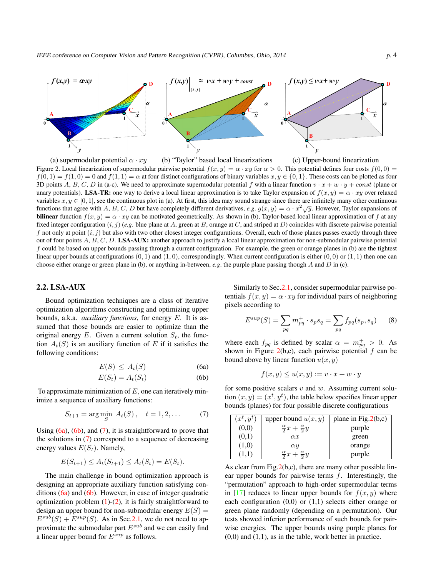<span id="page-3-6"></span>

<span id="page-3-1"></span>(a) supermodular potential *α · xy* (b) "Taylor" based local linearizations (c) Upper-bound linearization Figure 2. Local linearization of supermodular pairwise potential  $f(x, y) = \alpha \cdot xy$  for  $\alpha > 0$ . This potential defines four costs  $f(0, 0) =$  $f(0,1) = f(1,0) = 0$  and  $f(1,1) = \alpha$  at four distinct configurations of binary variables  $x, y \in \{0,1\}$ . These costs can be plotted as four 3D points *A*, *B*, *C*, *D* in (a-c). We need to approximate supermodular potential *f* with a linear function  $v \cdot x + w \cdot y + const$  (plane or unary potentials). LSA-TR: one way to derive a local linear approximation is to take Taylor expansion of  $f(x, y) = \alpha \cdot xy$  over relaxed variables  $x, y \in [0, 1]$ , see the continuous plot in (a). At first, this idea may sound strange since there are infinitely many other continuous functions that agree with *A*, *B*, *C*, *D* but have completely different derivatives, *e.g.*  $g(x, y) = \alpha \cdot x^2 \sqrt{y}$ . However, Taylor expansions of **bilinear** function  $f(x, y) = \alpha \cdot xy$  can be motivated geometrically. As shown in (b), Taylor-based local linear approximation of *f* at any fixed integer configuration  $(i, j)$  (*e.g.* blue plane at *A*, green at *B*, orange at *C*, and striped at *D*) coincides with discrete pairwise potential  $f$  not only at point  $(i, j)$  but also with two other closest integer configurations. Overall, each of those planes passes exactly through three out of four points *A*, *B*, *C*, *D*. LSA-AUX: another approach to justify a local linear approximation for non-submodular pairwise potential *f* could be based on upper bounds passing through a current configuration. For example, the green or orange planes in (b) are the tightest linear upper bounds at configurations  $(0, 1)$  and  $(1, 0)$ , correspondingly. When current configuration is either  $(0, 0)$  or  $(1, 1)$  then one can choose either orange or green plane in (b), or anything in-between, *e.g*. the purple plane passing though *A* and *D* in (c).

## <span id="page-3-0"></span>2.2. LSA-AUX

Bound optimization techniques are a class of iterative optimization algorithms constructing and optimizing upper bounds, a.k.a. *auxiliary functions*, for energy *E*. It is assumed that those bounds are easier to optimize than the original energy  $E$ . Given a current solution  $S_t$ , the function  $A_t(S)$  is an auxiliary function of *E* if it satisfies the following conditions:

$$
E(S) \le A_t(S) \tag{6a}
$$

$$
E(S_t) = A_t(S_t) \tag{6b}
$$

To approximate minimization of *E*, one can iteratively minimize a sequence of auxiliary functions:

<span id="page-3-4"></span>
$$
S_{t+1} = \arg\min_{S} A_t(S), \quad t = 1, 2, \dots \tag{7}
$$

Using  $(6a)$  $(6a)$  $(6a)$ ,  $(6b)$  $(6b)$ , and  $(7)$  $(7)$ , it is straightforward to prove that the solutions in ([7\)](#page-3-4) correspond to a sequence of decreasing energy values  $E(S_t)$ . Namely,

<span id="page-3-5"></span>
$$
E(S_{t+1}) \le A_t(S_{t+1}) \le A_t(S_t) = E(S_t).
$$

The main challenge in bound optimization approach is designing an appropriate auxiliary function satisfying conditions  $(6a)$  and  $(6b)$  $(6b)$ . However, in case of integer quadratic optimization problem  $(1)-(2)$  $(1)-(2)$  $(1)-(2)$  $(1)-(2)$ , it is fairly straightforward to design an upper bound for non-submodular energy  $E(S)$  =  $E^{sub}(S) + E^{sup}(S)$ . As in Sec. [2.1](#page-2-0), we do not need to approximate the submodular part *Esub* and we can easily find a linear upper bound for *Esup* as follows.

Similarly to Sec.[2.1,](#page-2-0) consider supermodular pairwise potentials  $f(x, y) = \alpha \cdot xy$  for individual pairs of neighboring pixels according to

$$
E^{sup}(S) = \sum_{pq} m_{pq}^{+} \cdot s_p s_q = \sum_{pq} f_{pq}(s_p, s_q)
$$
 (8)

<span id="page-3-2"></span>where each  $f_{pq}$  is defined by scalar  $\alpha = m_{pq}^+ > 0$ . As shown in Figure [2\(](#page-3-1)b,c), each pairwise potential *f* can be bound above by linear function  $u(x, y)$ 

$$
f(x, y) \le u(x, y) := v \cdot x + w \cdot y
$$

<span id="page-3-3"></span>for some positive scalars *v* and *w*. Assuming current solution  $(x, y) = (x^t, y^t)$ , the table below specifies linear upper bounds (planes) for four possible discrete configurations

| $(x^{\iota}, y^{\iota})$ | upper bound $u(x, y)$                 | plane in Fig. $2(b,c)$ |
|--------------------------|---------------------------------------|------------------------|
| (0,0)                    | $rac{\alpha}{2}x + \frac{\alpha}{2}y$ | purple                 |
| (0,1)                    | $\alpha x$                            | green                  |
| (1,0)                    | $\alpha y$                            | orange                 |
| 1,1                      | $\frac{\alpha}{2}x$ -                 | purple                 |

As clear from Fig[.2](#page-3-1)(b,c), there are many other possible linear upper bounds for pairwise terms *f*. Interestingly, the "permutation" approach to high-order supermodular terms in  $[17]$  $[17]$  reduces to linear upper bounds for  $f(x, y)$  where each configuration (0,0) or (1,1) selects either orange or green plane randomly (depending on a permutation). Our tests showed inferior performance of such bounds for pairwise energies. The upper bounds using purple planes for  $(0,0)$  and  $(1,1)$ , as in the table, work better in practice.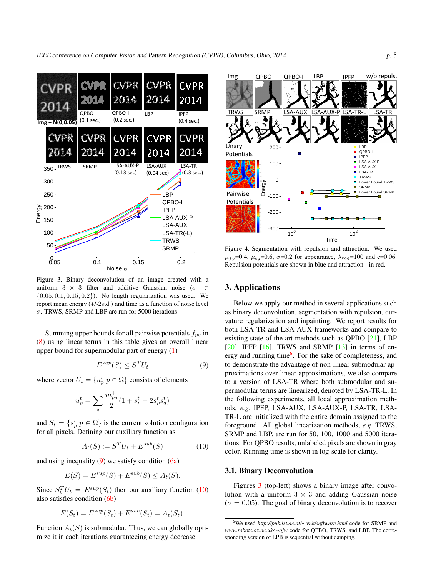<span id="page-4-5"></span>

<span id="page-4-4"></span>Figure 3. Binary deconvolution of an image created with a uniform 3 *×* 3 filter and additive Gaussian noise (*σ ∈ {*0*.*05*,* 0*.*1*,* 0*.*15*,* 0*.*2*}*). No length regularization was used. We report mean energy (+/-2std.) and time as a function of noise level *σ*. TRWS, SRMP and LBP are run for 5000 iterations.

Summing upper bounds for all pairwise potentials *fpq* in [\(8](#page-3-5)) using linear terms in this table gives an overall linear upper bound for supermodular part of energy ([1\)](#page-0-2)

<span id="page-4-1"></span>
$$
E^{sup}(S) \le S^T U_t \tag{9}
$$

where vector  $U_t = \{u_p^t | p \in \Omega\}$  consists of elements

$$
u_p^t = \sum_q \frac{m_{pq}^+}{2} (1 + s_p^t - 2s_p^t s_q^t)
$$

and  $S_t = \{s_p^t | p \in \Omega\}$  is the current solution configuration for all pixels. Defining our auxiliary function as

<span id="page-4-2"></span>
$$
A_t(S) := S^T U_t + E^{sub}(S)
$$
 (10)

and using inequality  $(9)$  $(9)$  we satisfy condition  $(6a)$  $(6a)$ 

$$
E(S) = E^{sup}(S) + E^{sub}(S) \le A_t(S).
$$

Since  $S_t^T U_t = E^{sup}(S_t)$  then our auxiliary function [\(10](#page-4-2)) also satisfies condition [\(6b](#page-3-3))

$$
E(S_t) = E^{sup}(S_t) + E^{sub}(S_t) = A_t(S_t).
$$

Function  $A_t(S)$  is submodular. Thus, we can globally optimize it in each iterations guaranteeing energy decrease.



<span id="page-4-0"></span>Figure 4. Segmentation with repulsion and attraction. We used  $\mu_{fq}$ =0.4,  $\mu_{bq}$ =0.6,  $\sigma$ =0.2 for appearance,  $\lambda_{reg}$ =100 and c=0.06. Repulsion potentials are shown in blue and attraction - in red.

## 3. Applications

Below we apply our method in several applications such as binary deconvolution, segmentation with repulsion, curvature regularization and inpainting. We report results for both LSA-TR and LSA-AUX frameworks and compare to existing state of the art methods such as QPBO [[21\]](#page-7-6), LBP  $[20]$  $[20]$ , IPFP  $[16]$  $[16]$ , TRWS and SRMP  $[13]$  $[13]$  in terms of en-ergy and running time<sup>[6](#page-4-3)</sup>. For the sake of completeness, and to demonstrate the advantage of non-linear submodular approximations over linear approximations, we also compare to a version of LSA-TR where both submodular and supermodular terms are linearized, denoted by LSA-TR-L. In the following experiments, all local approximation methods, *e.g*. IPFP, LSA-AUX, LSA-AUX-P, LSA-TR, LSA-TR-L are initialized with the entire domain assigned to the foreground. All global linearization methods, *e.g*. TRWS, SRMP and LBP, are run for 50, 100, 1000 and 5000 iterations. For QPBO results, unlabeled pixels are shown in gray color. Running time is shown in log-scale for clarity.

#### 3.1. Binary Deconvolution

Figures [3](#page-4-4) (top-left) shows a binary image after convolution with a uniform  $3 \times 3$  and adding Gaussian noise  $(\sigma = 0.05)$ . The goal of binary deconvolution is to recover

<span id="page-4-3"></span><sup>6</sup>We used *http://pub.ist.ac.at/∼vnk/software.html* code for SRMP and *www.robots.ox.ac.uk/∼ojw* code for QPBO, TRWS, and LBP. The corresponding version of LPB is sequential without damping.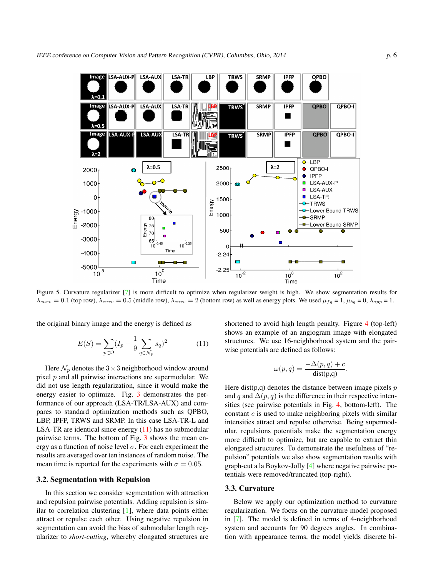<span id="page-5-2"></span>

<span id="page-5-1"></span>Figure 5. Curvature regularizer [[7](#page-7-20)] is more difficult to optimize when regularizer weight is high. We show segmentation results for  $\lambda_{curv} = 0.1$  (top row),  $\lambda_{curv} = 0.5$  (middle row),  $\lambda_{curv} = 2$  (bottom row) as well as energy plots. We used  $\mu_{fg} = 1$ ,  $\mu_{bg} = 0$ ,  $\lambda_{app} = 1$ .

the original binary image and the energy is defined as

<span id="page-5-0"></span>
$$
E(S) = \sum_{p \in \Omega} (I_p - \frac{1}{9} \sum_{q \in \mathcal{N}_p} s_q)^2
$$
 (11)

Here  $\mathcal{N}_p$  denotes the  $3 \times 3$  neighborhood window around pixel *p* and all pairwise interactions are supermodular. We did not use length regularization, since it would make the energy easier to optimize. Fig. [3](#page-4-4) demonstrates the performance of our approach (LSA-TR/LSA-AUX) and compares to standard optimization methods such as QPBO, LBP, IPFP, TRWS and SRMP. In this case LSA-TR-L and LSA-TR are identical since energy  $(11)$  $(11)$  has no submodular pairwise terms. The bottom of Fig. [3](#page-4-4) shows the mean energy as a function of noise level  $\sigma$ . For each experiment the results are averaged over ten instances of random noise. The mean time is reported for the experiments with  $\sigma = 0.05$ .

#### 3.2. Segmentation with Repulsion

In this section we consider segmentation with attraction and repulsion pairwise potentials. Adding repulsion is similar to correlation clustering  $[1]$  $[1]$ , where data points either attract or repulse each other. Using negative repulsion in segmentation can avoid the bias of submodular length regularizer to *short-cutting*, whereby elongated structures are

shortened to avoid high length penalty. Figure [4](#page-4-0) (top-left) shows an example of an angiogram image with elongated structures. We use 16-neighborhood system and the pairwise potentials are defined as follows:

$$
\omega(p,q) = \frac{-\Delta(p,q) + c}{\text{dist}(p,q)}.
$$

Here dist(p,q) denotes the distance between image pixels *p* and *q* and  $\Delta(p, q)$  is the difference in their respective intensities (see pairwise potentials in Fig. [4,](#page-4-0) bottom-left). The constant *c* is used to make neighboring pixels with similar intensities attract and repulse otherwise. Being supermodular, repulsions potentials make the segmentation energy more difficult to optimize, but are capable to extract thin elongated structures. To demonstrate the usefulness of "repulsion" potentials we also show segmentation results with graph-cut a la Boykov-Jolly [\[4](#page-7-21)] where negative pairwise potentials were removed/truncated (top-right).

# 3.3. Curvature

Below we apply our optimization method to curvature regularization. We focus on the curvature model proposed in [[7\]](#page-7-20). The model is defined in terms of 4-neighborhood system and accounts for 90 degrees angles. In combination with appearance terms, the model yields discrete bi-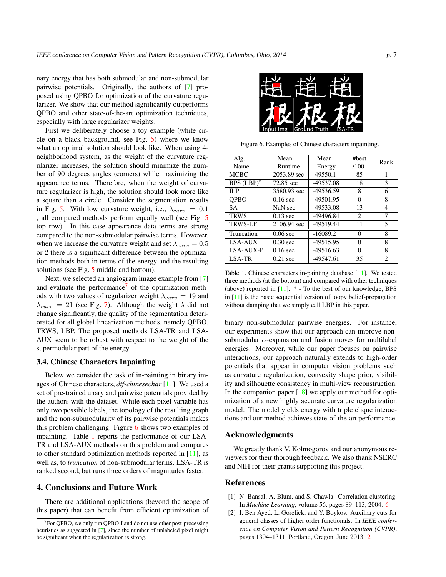<span id="page-6-5"></span>nary energy that has both submodular and non-submodular pairwise potentials. Originally, the authors of [[7\]](#page-7-20) proposed using QPBO for optimization of the curvature regularizer. We show that our method significantly outperforms QPBO and other state-of-the-art optimization techniques, especially with large regularizer weights.

First we deliberately choose a toy example (white circle on a black background, see Fig. [5\)](#page-5-1) where we know what an optimal solution should look like. When using 4 neighborhood system, as the weight of the curvature regularizer increases, the solution should minimize the number of 90 degrees angles (corners) while maximizing the appearance terms. Therefore, when the weight of curvature regularizer is high, the solution should look more like a square than a circle. Consider the segmentation results in Fig. [5](#page-5-1). With low curvature weight, i.e.,  $\lambda_{curv} = 0.1$ , all compared methods perform equally well (see Fig. [5](#page-5-1) top row). In this case appearance data terms are strong compared to the non-submodular pairwise terms. However, when we increase the curvature weight and set  $\lambda_{curv} = 0.5$ or 2 there is a significant difference between the optimization methods both in terms of the energy and the resulting solutions (see Fig. [5](#page-5-1) middle and bottom).

Next, we selected an angiogram image example from [\[7](#page-7-20)] and evaluate the performance<sup>[7](#page-6-3)</sup> of the optimization methods with two values of regularizer weight  $\lambda_{curv} = 19$  and  $\lambda_{curv} = 21$  (see Fig. [7\)](#page-7-22). Although the weight  $\lambda$  did not change significantly, the quality of the segmentation deteriorated for all global linearization methods, namely QPBO, TRWS, LBP. The proposed methods LSA-TR and LSA-AUX seem to be robust with respect to the weight of the supermodular part of the energy.

#### 3.4. Chinese Characters Inpainting

Below we consider the task of in-painting in binary images of Chinese characters, *dtf-chinesechar* [\[11](#page-7-8)]. We used a set of pre-trained unary and pairwise potentials provided by the authors with the dataset. While each pixel variable has only two possible labels, the topology of the resulting graph and the non-submodularity of its pairwise potentials makes this problem challenging. Figure [6](#page-6-4) shows two examples of inpainting. Table [1](#page-6-1) reports the performance of our LSA-TR and LSA-AUX methods on this problem and compares to other standard optimization methods reported in  $[11]$  $[11]$  $[11]$ , as well as, to *truncation* of non-submodular terms. LSA-TR is ranked second, but runs three orders of magnitudes faster.

#### 4. Conclusions and Future Work

There are additional applications (beyond the scope of this paper) that can benefit from efficient optimization of



Figure 6. Examples of Chinese characters inpainting.

<span id="page-6-4"></span>

| Alg.           | Mean        | Mean        | #best         | Rank           |  |
|----------------|-------------|-------------|---------------|----------------|--|
| Name           | Runtime     | Energy      | /100          |                |  |
| <b>MCBC</b>    | 2053.89 sec | $-49550.1$  | 85            | 1              |  |
| BPS $(LBP)^*$  | 72.85 sec   | $-49537.08$ | 18            | 3              |  |
| ILP            | 3580.93 sec | -49536.59   | 8             | 6              |  |
| <b>OPBO</b>    | $0.16$ sec  | $-49501.95$ | $\Omega$      | 8              |  |
| <b>SA</b>      | NaN sec     | -49533.08   | 13            | 4              |  |
| <b>TRWS</b>    | $0.13$ sec  | -49496.84   | $\mathcal{L}$ | 7              |  |
| <b>TRWS-LF</b> | 2106.94 sec | $-49519.44$ | 11            | 5              |  |
| Truncation     | $0.06$ sec  | $-16089.2$  | $\Omega$      | 8              |  |
| LSA-AUX        | $0.30$ sec  | $-49515.95$ | $\Omega$      | 8              |  |
| LSA-AUX-P      | $0.16$ sec  | $-49516.63$ | $\Omega$      | 8              |  |
| LSA-TR         | $0.21$ sec  | -49547.61   | 35            | $\mathfrak{D}$ |  |

<span id="page-6-1"></span>Table 1. Chinese characters in-painting database [[11\]](#page-7-8). We tested three methods (at the bottom) and compared with other techniques (above) reported in [\[11](#page-7-8)]. \* - To the best of our knowledge, BPS in [\[11](#page-7-8)] is the basic sequential version of loopy belief-propagation without damping that we simply call LBP in this paper.

binary non-submodular pairwise energies. For instance, our experiments show that our approach can improve nonsubmodular *α*-expansion and fusion moves for multilabel energies. Moreover, while our paper focuses on pairwise interactions, our approach naturally extends to high-order potentials that appear in computer vision problems such as curvature regularization, convexity shape prior, visibility and silhouette consistency in multi-view reconstruction. In the companion paper  $[18]$  $[18]$  we apply our method for optimization of a new highly accurate curvature regularization model. The model yields energy with triple clique interactions and our method achieves state-of-the-art performance.

#### Acknowledgments

We greatly thank V. Kolmogorov and our anonymous reviewers for their thorough feedback. We also thank NSERC and NIH for their grants supporting this project.

### References

- <span id="page-6-2"></span>[1] N. Bansal, A. Blum, and S. Chawla. Correlation clustering. In *Machine Learning*, volume 56, pages 89–113, 2004. [6](#page-5-2)
- <span id="page-6-0"></span>[2] I. Ben Ayed, L. Gorelick, and Y. Boykov. Auxiliary cuts for general classes of higher order functionals. In *IEEE conference on Computer Vision and Pattern Recognition (CVPR)*, pages 1304–1311, Portland, Oregon, June 2013. [2](#page-1-2)

<span id="page-6-3"></span> $7$ For QPBO, we only run QPBO-I and do not use other post-processing heuristics as suggested in [[7\]](#page-7-20), since the number of unlabeled pixel might be significant when the regularization is strong.